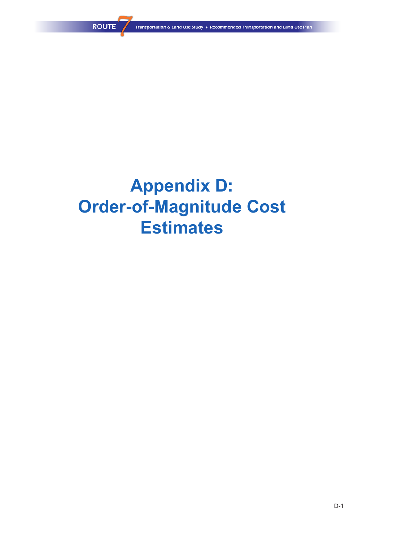# **Appendix D: Order-of-Magnitude Cost Estimates**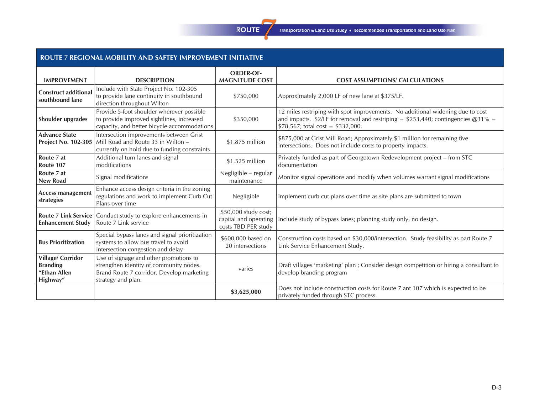## **ROUTE**

Transportation & Land Use Study . Recommended Transportation and Land Use Plan

## **ROUTE 7 REGIONAL MOBILITY AND SAFTEY IMPROVEMENT INITIATIVE**

|                                                                        |                                                                                                                                                      | <b>ORDER-OF-</b>                                                     |                                                                                                                                                                                                              |
|------------------------------------------------------------------------|------------------------------------------------------------------------------------------------------------------------------------------------------|----------------------------------------------------------------------|--------------------------------------------------------------------------------------------------------------------------------------------------------------------------------------------------------------|
| <b>IMPROVEMENT</b>                                                     | <b>DESCRIPTION</b>                                                                                                                                   | <b>MAGNITUDE COST</b>                                                | <b>COST ASSUMPTIONS/ CALCULATIONS</b>                                                                                                                                                                        |
| <b>Construct additional</b><br>southbound lane                         | Include with State Project No. 102-305<br>to provide lane continuity in southbound<br>direction throughout Wilton                                    | \$750,000                                                            | Approximately 2,000 LF of new lane at \$375/LF.                                                                                                                                                              |
| Shoulder upgrades                                                      | Provide 5-foot shoulder wherever possible<br>to provide improved sightlines, increased<br>capacity, and better bicycle accommodations                | \$350,000                                                            | 12 miles restriping with spot improvements. No additional widening due to cost<br>and impacts. \$2/LF for removal and restriping = \$253,440; contingencies $@31\% =$<br>$$78,567$ ; total cost = \$332,000. |
| <b>Advance State</b><br><b>Project No. 102-305</b>                     | Intersection improvements between Grist<br>Mill Road and Route 33 in Wilton -<br>currently on hold due to funding constraints                        | \$1.875 million                                                      | \$875,000 at Grist Mill Road; Approximately \$1 million for remaining five<br>intersections. Does not include costs to property impacts.                                                                     |
| Route 7 at<br>Route 107                                                | Additional turn lanes and signal<br>modifications                                                                                                    | \$1.525 million                                                      | Privately funded as part of Georgetown Redevelopment project - from STC<br>documentation                                                                                                                     |
| Route 7 at<br><b>New Road</b>                                          | Signal modifications                                                                                                                                 | Negligible - regular<br>maintenance                                  | Monitor signal operations and modify when volumes warrant signal modifications                                                                                                                               |
| <b>Access management</b><br>strategies                                 | Enhance access design criteria in the zoning<br>regulations and work to implement Curb Cut<br>Plans over time                                        | Negligible                                                           | Implement curb cut plans over time as site plans are submitted to town                                                                                                                                       |
| <b>Enhancement Study</b>                                               | <b>Route 7 Link Service</b> Conduct study to explore enhancements in<br>Route 7 Link service                                                         | \$50,000 study cost;<br>capital and operating<br>costs TBD PER study | Include study of bypass lanes; planning study only, no design.                                                                                                                                               |
| <b>Bus Prioritization</b>                                              | Special bypass lanes and signal prioritization<br>systems to allow bus travel to avoid<br>intersection congestion and delay                          | \$600,000 based on<br>20 intersections                               | Construction costs based on \$30,000/intersection. Study feasibility as part Route 7<br>Link Service Enhancement Study.                                                                                      |
| <b>Village/Corridor</b><br><b>Branding</b><br>"Ethan Allen<br>Highway" | Use of signage and other promotions to<br>strengthen identity of community nodes.<br>Brand Route 7 corridor. Develop marketing<br>strategy and plan. | varies                                                               | Draft villages 'marketing' plan; Consider design competition or hiring a consultant to<br>develop branding program                                                                                           |
|                                                                        |                                                                                                                                                      | \$3,625,000                                                          | Does not include construction costs for Route 7 ant 107 which is expected to be<br>privately funded through STC process.                                                                                     |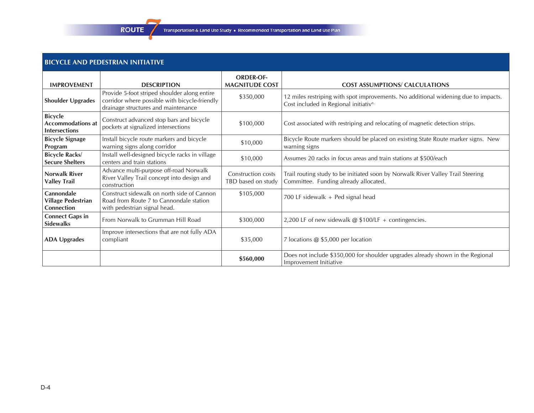## **BICYCLE AND PEDESTRIAN INITIATIVE**

**ROUTE** 

| <b>IMPROVEMENT</b>                                                 | <b>DESCRIPTION</b>                                                                                                                   | <b>ORDER-OF-</b><br><b>MAGNITUDE COST</b> | <b>COST ASSUMPTIONS/ CALCULATIONS</b>                                                                                       |
|--------------------------------------------------------------------|--------------------------------------------------------------------------------------------------------------------------------------|-------------------------------------------|-----------------------------------------------------------------------------------------------------------------------------|
| <b>Shoulder Upgrades</b>                                           | Provide 5-foot striped shoulder along entire<br>corridor where possible with bicycle-friendly<br>drainage structures and maintenance | \$350,000                                 | 12 miles restriping with spot improvements. No additional widening due to impacts.<br>Cost included in Regional initiative. |
| <b>Bicycle</b><br><b>Accommodations at</b><br><b>Intersections</b> | Construct advanced stop bars and bicycle<br>pockets at signalized intersections                                                      | \$100,000                                 | Cost associated with restriping and relocating of magnetic detection strips.                                                |
| <b>Bicycle Signage</b><br>Program                                  | Install bicycle route markers and bicycle<br>warning signs along corridor                                                            | \$10,000                                  | Bicycle Route markers should be placed on existing State Route marker signs. New<br>warning signs                           |
| <b>Bicycle Racks/</b><br><b>Secure Shelters</b>                    | Install well-designed bicycle racks in village<br>centers and train stations                                                         | \$10,000                                  | Assumes 20 racks in focus areas and train stations at \$500/each                                                            |
| <b>Norwalk River</b><br><b>Valley Trail</b>                        | Advance multi-purpose off-road Norwalk<br>River Valley Trail concept into design and<br>construction                                 | Construction costs<br>TBD based on study  | Trail routing study to be initiated soon by Norwalk River Valley Trail Steering<br>Committee. Funding already allocated.    |
| Cannondale<br><b>Village Pedestrian</b><br>Connection              | Construct sidewalk on north side of Cannon<br>Road from Route 7 to Cannondale station<br>with pedestrian signal head.                | \$105,000                                 | 700 LF sidewalk $+$ Ped signal head                                                                                         |
| <b>Connect Gaps in</b><br><b>Sidewalks</b>                         | From Norwalk to Grumman Hill Road                                                                                                    | \$300,000                                 | 2,200 LF of new sidewalk $@$ \$100/LF + contingencies.                                                                      |
| <b>ADA Upgrades</b>                                                | Improve intersections that are not fully ADA<br>compliant                                                                            | \$35,000                                  | 7 locations @ \$5,000 per location                                                                                          |
|                                                                    |                                                                                                                                      | \$560,000                                 | Does not include \$350,000 for shoulder upgrades already shown in the Regional<br>Improvement Initiative                    |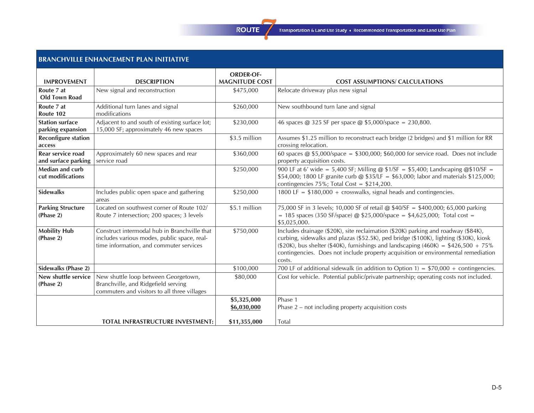

## **BRANCHVILLE ENHANCEMENT PLAN INITIATIVE**

|                                             |                                                                                                                                        | <b>ORDER-OF-</b>           |                                                                                                                                                                                                                                                                                                                                                                    |
|---------------------------------------------|----------------------------------------------------------------------------------------------------------------------------------------|----------------------------|--------------------------------------------------------------------------------------------------------------------------------------------------------------------------------------------------------------------------------------------------------------------------------------------------------------------------------------------------------------------|
| <b>IMPROVEMENT</b>                          | <b>DESCRIPTION</b>                                                                                                                     | <b>MAGNITUDE COST</b>      | <b>COST ASSUMPTIONS/ CALCULATIONS</b>                                                                                                                                                                                                                                                                                                                              |
| Route 7 at<br><b>Old Town Road</b>          | New signal and reconstruction                                                                                                          | \$475,000                  | Relocate driveway plus new signal                                                                                                                                                                                                                                                                                                                                  |
| Route 7 at<br>Route 102                     | Additional turn lanes and signal<br>modifications                                                                                      | \$260,000                  | New southbound turn lane and signal                                                                                                                                                                                                                                                                                                                                |
| <b>Station surface</b><br>parking expansion | Adjacent to and south of existing surface lot;<br>15,000 SF; approximately 46 new spaces                                               | \$230,000                  | 46 spaces @ 325 SF per space @ \$5,000/space = 230,800.                                                                                                                                                                                                                                                                                                            |
| <b>Reconfigure station</b><br>access        |                                                                                                                                        | \$3.5 million              | Assumes \$1.25 million to reconstruct each bridge (2 bridges) and \$1 million for RR<br>crossing relocation.                                                                                                                                                                                                                                                       |
| Rear service road<br>and surface parking    | Approximately 60 new spaces and rear<br>service road                                                                                   | \$360,000                  | 60 spaces @ \$5,000/space = \$300,000; \$60,000 for service road. Does not include<br>property acquisition costs.                                                                                                                                                                                                                                                  |
| Median and curb<br>cut modifications        |                                                                                                                                        | \$250,000                  | 900 LF at 6' wide = 5,400 SF; Milling @ $$1/SF = $5,400$ ; Landscaping @\$10/SF =<br>\$54,000; 1800 LF granite curb @ \$35/LF = \$63,000; labor and materials \$125,000;<br>contingencies $75\%$ ; Total Cost = \$214,200.                                                                                                                                         |
| <b>Sidewalks</b>                            | Includes public open space and gathering<br>areas                                                                                      | \$250,000                  | 1800 LF = $$180,000 + crosswalks$ , signal heads and contingencies.                                                                                                                                                                                                                                                                                                |
| <b>Parking Structure</b><br>(Phase 2)       | Located on southwest corner of Route 102/<br>Route 7 intersection; 200 spaces; 3 levels                                                | \$5.1 million              | 75,000 SF in 3 levels; 10,000 SF of retail @ \$40/SF = \$400,000; 65,000 parking<br>= 185 spaces (350 SF/space) @ \$25,000/space = \$4,625,000; Total cost =<br>\$5,025,000.                                                                                                                                                                                       |
| <b>Mobility Hub</b><br>(Phase 2)            | Construct intermodal hub in Branchville that<br>includes various modes, public space, real-<br>time information, and commuter services | \$750,000                  | Includes drainage (\$20K), site reclaimation (\$20K) parking and roadway (\$84K),<br>curbing, sidewalks and plazas (\$52.5K), ped bridge (\$100K), lighting (\$30K), kiosk<br>$(\$20K)$ , bus shelter (\$40K), furnishings and landscaping (460K) = \$426,500 + 75%<br>contingencies. Does not include property acquisition or environmental remediation<br>costs. |
| Sidewalks (Phase 2)                         |                                                                                                                                        | \$100,000                  | 700 LF of additional sidewalk (in addition to Option 1) = $$70,000 + \text{contingencies.}$                                                                                                                                                                                                                                                                        |
| New shuttle service<br>(Phase 2)            | New shuttle loop between Georgetown,<br>Branchville, and Ridgefield serving<br>commuters and visitors to all three villages            | \$80,000                   | Cost for vehicle. Potential public/private partnership; operating costs not included.                                                                                                                                                                                                                                                                              |
|                                             |                                                                                                                                        | \$5,325,000<br>\$6,030,000 | Phase 1<br>Phase $2$ – not including property acquisition costs                                                                                                                                                                                                                                                                                                    |
|                                             | <b>TOTAL INFRASTRUCTURE INVESTMENT:</b>                                                                                                | \$11,355,000               | <b>Total</b>                                                                                                                                                                                                                                                                                                                                                       |